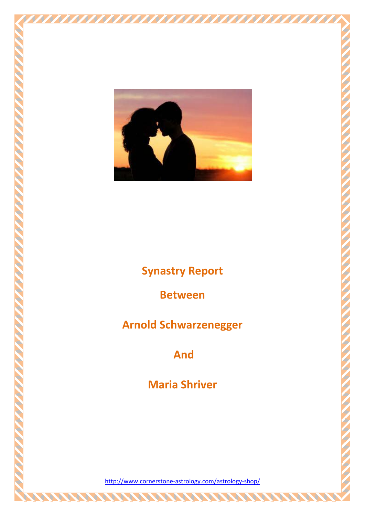

**Synastry Report**

**Between** 

**Arnold Schwarzenegger** 

**And**

**Maria Shriver**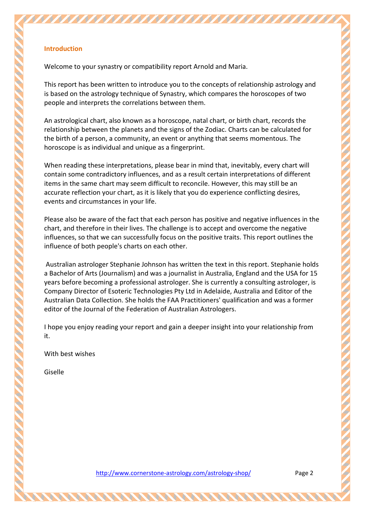## **Introduction**

Welcome to your synastry or compatibility report Arnold and Maria.

This report has been written to introduce you to the concepts of relationship astrology and is based on the astrology technique of Synastry, which compares the horoscopes of two people and interprets the correlations between them.

An astrological chart, also known as a horoscope, natal chart, or birth chart, records the relationship between the planets and the signs of the Zodiac. Charts can be calculated for the birth of a person, a community, an event or anything that seems momentous. The horoscope is as individual and unique as a fingerprint.

When reading these interpretations, please bear in mind that, inevitably, every chart will contain some contradictory influences, and as a result certain interpretations of different items in the same chart may seem difficult to reconcile. However, this may still be an accurate reflection your chart, as it is likely that you do experience conflicting desires, events and circumstances in your life.

Please also be aware of the fact that each person has positive and negative influences in the chart, and therefore in their lives. The challenge is to accept and overcome the negative influences, so that we can successfully focus on the positive traits. This report outlines the influence of both people's charts on each other.

Australian astrologer Stephanie Johnson has written the text in this report. Stephanie holds a Bachelor of Arts (Journalism) and was a journalist in Australia, England and the USA for 15 years before becoming a professional astrologer. She is currently a consulting astrologer, is Company Director of Esoteric Technologies Pty Ltd in Adelaide, Australia and Editor of the Australian Data Collection. She holds the FAA Practitioners' qualification and was a former editor of the Journal of the Federation of Australian Astrologers.

I hope you enjoy reading your report and gain a deeper insight into your relationship from it.

With best wishes

Giselle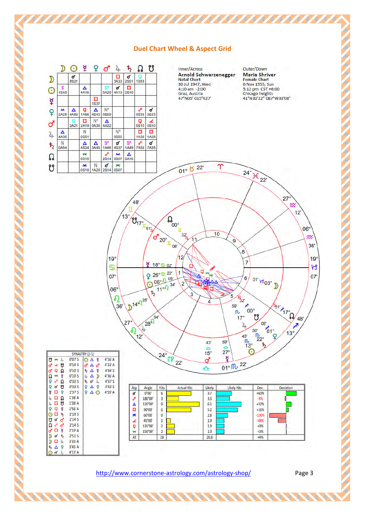#### **Duel Chart Wheel & Aspect Grid**

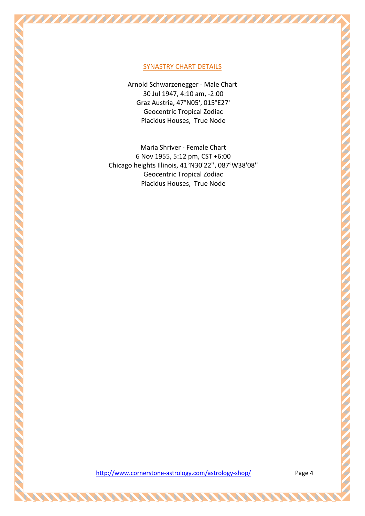## SYNASTRY CHART DETAILS

Arnold Schwarzenegger - Male Chart 30 Jul 1947, 4:10 am, -2:00 Graz Austria, 47°N05', 015°E27' Geocentric Tropical Zodiac Placidus Houses, True Node

Maria Shriver - Female Chart 6 Nov 1955, 5:12 pm, CST +6:00 Chicago heights Illinois, 41°N30'22'', 087°W38'08'' Geocentric Tropical Zodiac Placidus Houses, True Node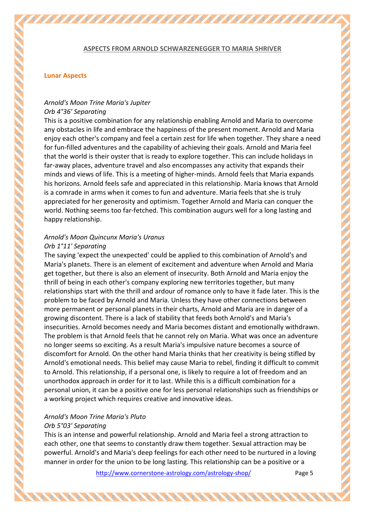#### **ASPECTS FROM ARNOLD SCHWARZENEGGER TO MARIA SHRIVER**

#### **Lunar Aspects**

## *Arnold's Moon Trine Maria's Jupiter Orb 4°36' Separating*

This is a positive combination for any relationship enabling Arnold and Maria to overcome any obstacles in life and embrace the happiness of the present moment. Arnold and Maria enjoy each other's company and feel a certain zest for life when together. They share a need for fun-filled adventures and the capability of achieving their goals. Arnold and Maria feel that the world is their oyster that is ready to explore together. This can include holidays in far-away places, adventure travel and also encompasses any activity that expands their minds and views of life. This is a meeting of higher-minds. Arnold feels that Maria expands his horizons. Arnold feels safe and appreciated in this relationship. Maria knows that Arnold is a comrade in arms when it comes to fun and adventure. Maria feels that she is truly appreciated for her generosity and optimism. Together Arnold and Maria can conquer the world. Nothing seems too far-fetched. This combination augurs well for a long lasting and happy relationship.

# *Arnold's Moon Quincunx Maria's Uranus*

#### *Orb 1°11' Separating*

The saying 'expect the unexpected' could be applied to this combination of Arnold's and Maria's planets. There is an element of excitement and adventure when Arnold and Maria get together, but there is also an element of insecurity. Both Arnold and Maria enjoy the thrill of being in each other's company exploring new territories together, but many relationships start with the thrill and ardour of romance only to have it fade later. This is the problem to be faced by Arnold and Maria. Unless they have other connections between more permanent or personal planets in their charts, Arnold and Maria are in danger of a growing discontent. There is a lack of stability that feeds both Arnold's and Maria's insecurities. Arnold becomes needy and Maria becomes distant and emotionally withdrawn. The problem is that Arnold feels that he cannot rely on Maria. What was once an adventure no longer seems so exciting. As a result Maria's impulsive nature becomes a source of discomfort for Arnold. On the other hand Maria thinks that her creativity is being stifled by Arnold's emotional needs. This belief may cause Maria to rebel, finding it difficult to commit to Arnold. This relationship, if a personal one, is likely to require a lot of freedom and an unorthodox approach in order for it to last. While this is a difficult combination for a personal union, it can be a positive one for less personal relationships such as friendships or a working project which requires creative and innovative ideas.

#### *Arnold's Moon Trine Maria's Pluto Orb 5°03' Separating*

This is an intense and powerful relationship. Arnold and Maria feel a strong attraction to each other, one that seems to constantly draw them together. Sexual attraction may be powerful. Arnold's and Maria's deep feelings for each other need to be nurtured in a loving manner in order for the union to be long lasting. This relationship can be a positive or a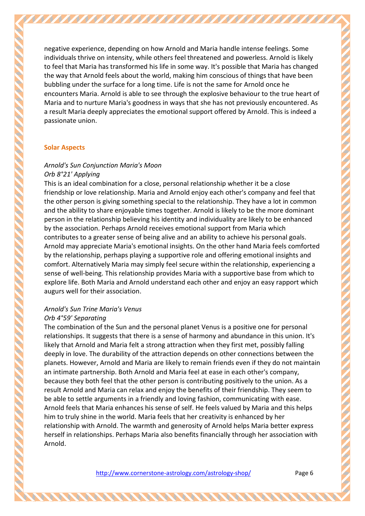negative experience, depending on how Arnold and Maria handle intense feelings. Some individuals thrive on intensity, while others feel threatened and powerless. Arnold is likely to feel that Maria has transformed his life in some way. It's possible that Maria has changed the way that Arnold feels about the world, making him conscious of things that have been bubbling under the surface for a long time. Life is not the same for Arnold once he encounters Maria. Arnold is able to see through the explosive behaviour to the true heart of Maria and to nurture Maria's goodness in ways that she has not previously encountered. As a result Maria deeply appreciates the emotional support offered by Arnold. This is indeed a passionate union.

#### **Solar Aspects**

# *Arnold's Sun Conjunction Maria's Moon*

#### *Orb 8°21' Applying*

This is an ideal combination for a close, personal relationship whether it be a close friendship or love relationship. Maria and Arnold enjoy each other's company and feel that the other person is giving something special to the relationship. They have a lot in common and the ability to share enjoyable times together. Arnold is likely to be the more dominant person in the relationship believing his identity and individuality are likely to be enhanced by the association. Perhaps Arnold receives emotional support from Maria which contributes to a greater sense of being alive and an ability to achieve his personal goals. Arnold may appreciate Maria's emotional insights. On the other hand Maria feels comforted by the relationship, perhaps playing a supportive role and offering emotional insights and comfort. Alternatively Maria may simply feel secure within the relationship, experiencing a sense of well-being. This relationship provides Maria with a supportive base from which to explore life. Both Maria and Arnold understand each other and enjoy an easy rapport which augurs well for their association.

## *Arnold's Sun Trine Maria's Venus Orb 4°59' Separating*

The combination of the Sun and the personal planet Venus is a positive one for personal relationships. It suggests that there is a sense of harmony and abundance in this union. It's likely that Arnold and Maria felt a strong attraction when they first met, possibly falling deeply in love. The durability of the attraction depends on other connections between the planets. However, Arnold and Maria are likely to remain friends even if they do not maintain an intimate partnership. Both Arnold and Maria feel at ease in each other's company, because they both feel that the other person is contributing positively to the union. As a result Arnold and Maria can relax and enjoy the benefits of their friendship. They seem to be able to settle arguments in a friendly and loving fashion, communicating with ease. Arnold feels that Maria enhances his sense of self. He feels valued by Maria and this helps him to truly shine in the world. Maria feels that her creativity is enhanced by her relationship with Arnold. The warmth and generosity of Arnold helps Maria better express herself in relationships. Perhaps Maria also benefits financially through her association with Arnold.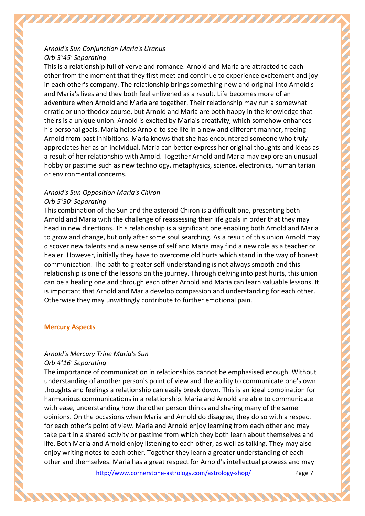## *Arnold's Sun Conjunction Maria's Uranus Orb 3°45' Separating*

This is a relationship full of verve and romance. Arnold and Maria are attracted to each other from the moment that they first meet and continue to experience excitement and joy in each other's company. The relationship brings something new and original into Arnold's and Maria's lives and they both feel enlivened as a result. Life becomes more of an adventure when Arnold and Maria are together. Their relationship may run a somewhat erratic or unorthodox course, but Arnold and Maria are both happy in the knowledge that theirs is a unique union. Arnold is excited by Maria's creativity, which somehow enhances his personal goals. Maria helps Arnold to see life in a new and different manner, freeing Arnold from past inhibitions. Maria knows that she has encountered someone who truly appreciates her as an individual. Maria can better express her original thoughts and ideas as a result of her relationship with Arnold. Together Arnold and Maria may explore an unusual hobby or pastime such as new technology, metaphysics, science, electronics, humanitarian or environmental concerns.

## *Arnold's Sun Opposition Maria's Chiron Orb 5°30' Separating*

This combination of the Sun and the asteroid Chiron is a difficult one, presenting both Arnold and Maria with the challenge of reassessing their life goals in order that they may head in new directions. This relationship is a significant one enabling both Arnold and Maria to grow and change, but only after some soul searching. As a result of this union Arnold may discover new talents and a new sense of self and Maria may find a new role as a teacher or healer. However, initially they have to overcome old hurts which stand in the way of honest communication. The path to greater self-understanding is not always smooth and this relationship is one of the lessons on the journey. Through delving into past hurts, this union can be a healing one and through each other Arnold and Maria can learn valuable lessons. It is important that Arnold and Maria develop compassion and understanding for each other. Otherwise they may unwittingly contribute to further emotional pain.

## **Mercury Aspects**

# *Arnold's Mercury Trine Maria's Sun*

*Orb 4°16' Separating*

The importance of communication in relationships cannot be emphasised enough. Without understanding of another person's point of view and the ability to communicate one's own thoughts and feelings a relationship can easily break down. This is an ideal combination for harmonious communications in a relationship. Maria and Arnold are able to communicate with ease, understanding how the other person thinks and sharing many of the same opinions. On the occasions when Maria and Arnold do disagree, they do so with a respect for each other's point of view. Maria and Arnold enjoy learning from each other and may take part in a shared activity or pastime from which they both learn about themselves and life. Both Maria and Arnold enjoy listening to each other, as well as talking. They may also enjoy writing notes to each other. Together they learn a greater understanding of each other and themselves. Maria has a great respect for Arnold's intellectual prowess and may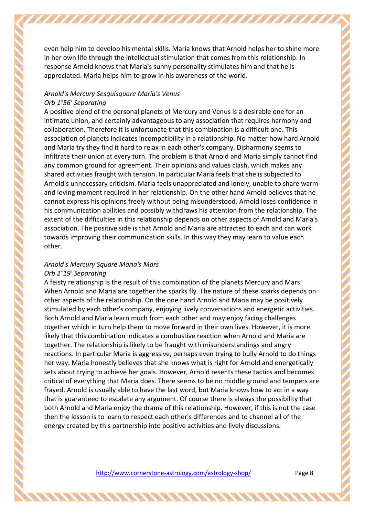even help him to develop his mental skills. Maria knows that Arnold helps her to shine more in her own life through the intellectual stimulation that comes from this relationship. In response Arnold knows that Maria's sunny personality stimulates him and that he is appreciated. Maria helps him to grow in his awareness of the world.

## *Arnold's Mercury Sesquisquare Maria's Venus Orb 1°56' Separating*

A positive blend of the personal planets of Mercury and Venus is a desirable one for an intimate union, and certainly advantageous to any association that requires harmony and collaboration. Therefore it is unfortunate that this combination is a difficult one. This association of planets indicates incompatibility in a relationship. No matter how hard Arnold and Maria try they find it hard to relax in each other's company. Disharmony seems to infiltrate their union at every turn. The problem is that Arnold and Maria simply cannot find any common ground for agreement. Their opinions and values clash, which makes any shared activities fraught with tension. In particular Maria feels that she is subjected to Arnold's unnecessary criticism. Maria feels unappreciated and lonely, unable to share warm and loving moment required in her relationship. On the other hand Arnold believes that he cannot express his opinions freely without being misunderstood. Arnold loses confidence in his communication abilities and possibly withdraws his attention from the relationship. The extent of the difficulties in this relationship depends on other aspects of Arnold and Maria's association. The positive side is that Arnold and Maria are attracted to each and can work towards improving their communication skills. In this way they may learn to value each other.

## *Arnold's Mercury Square Maria's Mars Orb 2°19' Separating*

A feisty relationship is the result of this combination of the planets Mercury and Mars. When Arnold and Maria are together the sparks fly. The nature of these sparks depends on other aspects of the relationship. On the one hand Arnold and Maria may be positively stimulated by each other's company, enjoying lively conversations and energetic activities. Both Arnold and Maria learn much from each other and may enjoy facing challenges together which in turn help them to move forward in their own lives. However, it is more likely that this combination indicates a combustive reaction when Arnold and Maria are together. The relationship is likely to be fraught with misunderstandings and angry reactions. In particular Maria is aggressive, perhaps even trying to bully Arnold to do things her way. Maria honestly believes that she knows what is right for Arnold and energetically sets about trying to achieve her goals. However, Arnold resents these tactics and becomes critical of everything that Maria does. There seems to be no middle ground and tempers are frayed. Arnold is usually able to have the last word, but Maria knows how to act in a way that is guaranteed to escalate any argument. Of course there is always the possibility that both Arnold and Maria enjoy the drama of this relationship. However, if this is not the case then the lesson is to learn to respect each other's differences and to channel all of the energy created by this partnership into positive activities and lively discussions.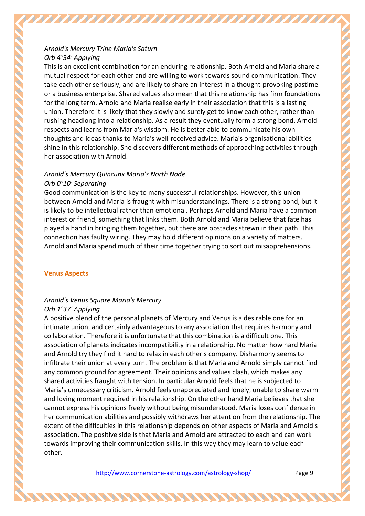## *Arnold's Mercury Trine Maria's Saturn Orb 4°34' Applying*

This is an excellent combination for an enduring relationship. Both Arnold and Maria share a mutual respect for each other and are willing to work towards sound communication. They take each other seriously, and are likely to share an interest in a thought-provoking pastime or a business enterprise. Shared values also mean that this relationship has firm foundations for the long term. Arnold and Maria realise early in their association that this is a lasting union. Therefore it is likely that they slowly and surely get to know each other, rather than rushing headlong into a relationship. As a result they eventually form a strong bond. Arnold respects and learns from Maria's wisdom. He is better able to communicate his own thoughts and ideas thanks to Maria's well-received advice. Maria's organisational abilities shine in this relationship. She discovers different methods of approaching activities through her association with Arnold.

## *Arnold's Mercury Quincunx Maria's North Node Orb 0°10' Separating*

Good communication is the key to many successful relationships. However, this union between Arnold and Maria is fraught with misunderstandings. There is a strong bond, but it is likely to be intellectual rather than emotional. Perhaps Arnold and Maria have a common interest or friend, something that links them. Both Arnold and Maria believe that fate has played a hand in bringing them together, but there are obstacles strewn in their path. This connection has faulty wiring. They may hold different opinions on a variety of matters. Arnold and Maria spend much of their time together trying to sort out misapprehensions.

## **Venus Aspects**

# *Arnold's Venus Square Maria's Mercury*

## *Orb 1°37' Applying*

A positive blend of the personal planets of Mercury and Venus is a desirable one for an intimate union, and certainly advantageous to any association that requires harmony and collaboration. Therefore it is unfortunate that this combination is a difficult one. This association of planets indicates incompatibility in a relationship. No matter how hard Maria and Arnold try they find it hard to relax in each other's company. Disharmony seems to infiltrate their union at every turn. The problem is that Maria and Arnold simply cannot find any common ground for agreement. Their opinions and values clash, which makes any shared activities fraught with tension. In particular Arnold feels that he is subjected to Maria's unnecessary criticism. Arnold feels unappreciated and lonely, unable to share warm and loving moment required in his relationship. On the other hand Maria believes that she cannot express his opinions freely without being misunderstood. Maria loses confidence in her communication abilities and possibly withdraws her attention from the relationship. The extent of the difficulties in this relationship depends on other aspects of Maria and Arnold's association. The positive side is that Maria and Arnold are attracted to each and can work towards improving their communication skills. In this way they may learn to value each other.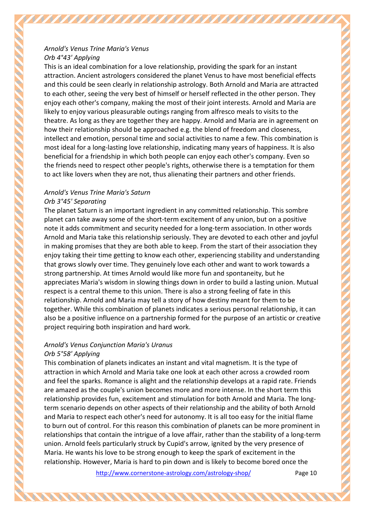## *Arnold's Venus Trine Maria's Venus Orb 4°43' Applying*

This is an ideal combination for a love relationship, providing the spark for an instant attraction. Ancient astrologers considered the planet Venus to have most beneficial effects and this could be seen clearly in relationship astrology. Both Arnold and Maria are attracted to each other, seeing the very best of himself or herself reflected in the other person. They enjoy each other's company, making the most of their joint interests. Arnold and Maria are likely to enjoy various pleasurable outings ranging from alfresco meals to visits to the theatre. As long as they are together they are happy. Arnold and Maria are in agreement on how their relationship should be approached e.g. the blend of freedom and closeness, intellect and emotion, personal time and social activities to name a few. This combination is most ideal for a long-lasting love relationship, indicating many years of happiness. It is also beneficial for a friendship in which both people can enjoy each other's company. Even so the friends need to respect other people's rights, otherwise there is a temptation for them to act like lovers when they are not, thus alienating their partners and other friends.

# *Arnold's Venus Trine Maria's Saturn Orb 3°45' Separating*

The planet Saturn is an important ingredient in any committed relationship. This sombre planet can take away some of the short-term excitement of any union, but on a positive note it adds commitment and security needed for a long-term association. In other words Arnold and Maria take this relationship seriously. They are devoted to each other and joyful in making promises that they are both able to keep. From the start of their association they enjoy taking their time getting to know each other, experiencing stability and understanding that grows slowly over time. They genuinely love each other and want to work towards a strong partnership. At times Arnold would like more fun and spontaneity, but he appreciates Maria's wisdom in slowing things down in order to build a lasting union. Mutual respect is a central theme to this union. There is also a strong feeling of fate in this relationship. Arnold and Maria may tell a story of how destiny meant for them to be together. While this combination of planets indicates a serious personal relationship, it can also be a positive influence on a partnership formed for the purpose of an artistic or creative project requiring both inspiration and hard work.

## *Arnold's Venus Conjunction Maria's Uranus Orb 5°58' Applying*

This combination of planets indicates an instant and vital magnetism. It is the type of attraction in which Arnold and Maria take one look at each other across a crowded room and feel the sparks. Romance is alight and the relationship develops at a rapid rate. Friends are amazed as the couple's union becomes more and more intense. In the short term this relationship provides fun, excitement and stimulation for both Arnold and Maria. The longterm scenario depends on other aspects of their relationship and the ability of both Arnold and Maria to respect each other's need for autonomy. It is all too easy for the initial flame to burn out of control. For this reason this combination of planets can be more prominent in relationships that contain the intrigue of a love affair, rather than the stability of a long-term union. Arnold feels particularly struck by Cupid's arrow, ignited by the very presence of Maria. He wants his love to be strong enough to keep the spark of excitement in the relationship. However, Maria is hard to pin down and is likely to become bored once the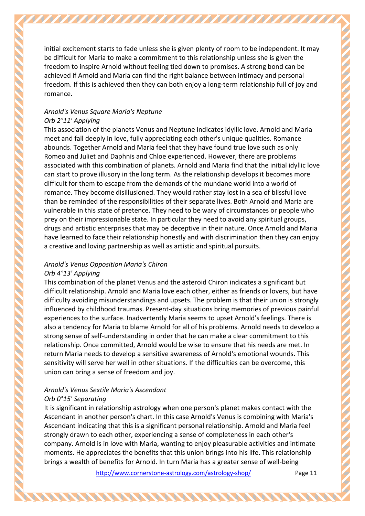initial excitement starts to fade unless she is given plenty of room to be independent. It may be difficult for Maria to make a commitment to this relationship unless she is given the freedom to inspire Arnold without feeling tied down to promises. A strong bond can be achieved if Arnold and Maria can find the right balance between intimacy and personal freedom. If this is achieved then they can both enjoy a long-term relationship full of joy and romance.

## *Arnold's Venus Square Maria's Neptune Orb 2°11' Applying*

This association of the planets Venus and Neptune indicates idyllic love. Arnold and Maria meet and fall deeply in love, fully appreciating each other's unique qualities. Romance abounds. Together Arnold and Maria feel that they have found true love such as only Romeo and Juliet and Daphnis and Chloe experienced. However, there are problems associated with this combination of planets. Arnold and Maria find that the initial idyllic love can start to prove illusory in the long term. As the relationship develops it becomes more difficult for them to escape from the demands of the mundane world into a world of romance. They become disillusioned. They would rather stay lost in a sea of blissful love than be reminded of the responsibilities of their separate lives. Both Arnold and Maria are vulnerable in this state of pretence. They need to be wary of circumstances or people who prey on their impressionable state. In particular they need to avoid any spiritual groups, drugs and artistic enterprises that may be deceptive in their nature. Once Arnold and Maria have learned to face their relationship honestly and with discrimination then they can enjoy a creative and loving partnership as well as artistic and spiritual pursuits.

#### *Arnold's Venus Opposition Maria's Chiron Orb 4°13' Applying*

This combination of the planet Venus and the asteroid Chiron indicates a significant but difficult relationship. Arnold and Maria love each other, either as friends or lovers, but have difficulty avoiding misunderstandings and upsets. The problem is that their union is strongly influenced by childhood traumas. Present-day situations bring memories of previous painful experiences to the surface. Inadvertently Maria seems to upset Arnold's feelings. There is also a tendency for Maria to blame Arnold for all of his problems. Arnold needs to develop a strong sense of self-understanding in order that he can make a clear commitment to this relationship. Once committed, Arnold would be wise to ensure that his needs are met. In return Maria needs to develop a sensitive awareness of Arnold's emotional wounds. This sensitivity will serve her well in other situations. If the difficulties can be overcome, this union can bring a sense of freedom and joy.

## *Arnold's Venus Sextile Maria's Ascendant Orb 0°15' Separating*

It is significant in relationship astrology when one person's planet makes contact with the Ascendant in another person's chart. In this case Arnold's Venus is combining with Maria's Ascendant indicating that this is a significant personal relationship. Arnold and Maria feel strongly drawn to each other, experiencing a sense of completeness in each other's company. Arnold is in love with Maria, wanting to enjoy pleasurable activities and intimate moments. He appreciates the benefits that this union brings into his life. This relationship brings a wealth of benefits for Arnold. In turn Maria has a greater sense of well-being

AANA AANA AANA AANA AANA AH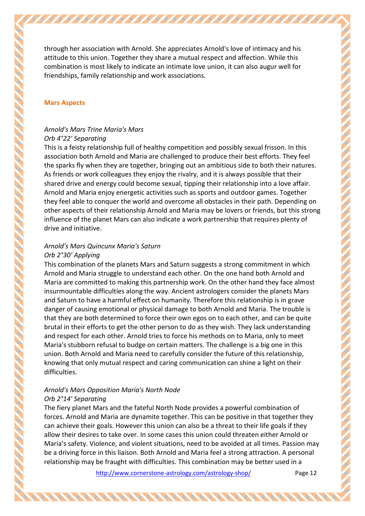through her association with Arnold. She appreciates Arnold's love of intimacy and his attitude to this union. Together they share a mutual respect and affection. While this combination is most likely to indicate an intimate love union, it can also augur well for friendships, family relationship and work associations.

#### **Mars Aspects**

# *Arnold's Mars Trine Maria's Mars*

#### *Orb 4°22' Separating*

This is a feisty relationship full of healthy competition and possibly sexual frisson. In this association both Arnold and Maria are challenged to produce their best efforts. They feel the sparks fly when they are together, bringing out an ambitious side to both their natures. As friends or work colleagues they enjoy the rivalry, and it is always possible that their shared drive and energy could become sexual, tipping their relationship into a love affair. Arnold and Maria enjoy energetic activities such as sports and outdoor games. Together they feel able to conquer the world and overcome all obstacles in their path. Depending on other aspects of their relationship Arnold and Maria may be lovers or friends, but this strong influence of the planet Mars can also indicate a work partnership that requires plenty of drive and initiative.

# *Arnold's Mars Quincunx Maria's Saturn*

#### *Orb 2°30' Applying*

This combination of the planets Mars and Saturn suggests a strong commitment in which Arnold and Maria struggle to understand each other. On the one hand both Arnold and Maria are committed to making this partnership work. On the other hand they face almost insurmountable difficulties along the way. Ancient astrologers consider the planets Mars and Saturn to have a harmful effect on humanity. Therefore this relationship is in grave danger of causing emotional or physical damage to both Arnold and Maria. The trouble is that they are both determined to force their own egos on to each other, and can be quite brutal in their efforts to get the other person to do as they wish. They lack understanding and respect for each other. Arnold tries to force his methods on to Maria, only to meet Maria's stubborn refusal to budge on certain matters. The challenge is a big one in this union. Both Arnold and Maria need to carefully consider the future of this relationship, knowing that only mutual respect and caring communication can shine a light on their difficulties.

## *Arnold's Mars Opposition Maria's North Node Orb 2°14' Separating*

The fiery planet Mars and the fateful North Node provides a powerful combination of forces. Arnold and Maria are dynamite together. This can be positive in that together they can achieve their goals. However this union can also be a threat to their life goals if they allow their desires to take over. In some cases this union could threaten either Arnold or Maria's safety. Violence, and violent situations, need to be avoided at all times. Passion may be a driving force in this liaison. Both Arnold and Maria feel a strong attraction. A personal relationship may be fraught with difficulties. This combination may be better used in a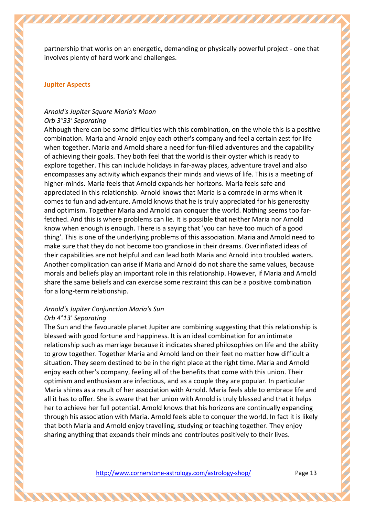partnership that works on an energetic, demanding or physically powerful project - one that involves plenty of hard work and challenges.

#### **Jupiter Aspects**

## *Arnold's Jupiter Square Maria's Moon Orb 3°33' Separating*

Although there can be some difficulties with this combination, on the whole this is a positive combination. Maria and Arnold enjoy each other's company and feel a certain zest for life when together. Maria and Arnold share a need for fun-filled adventures and the capability of achieving their goals. They both feel that the world is their oyster which is ready to explore together. This can include holidays in far-away places, adventure travel and also encompasses any activity which expands their minds and views of life. This is a meeting of higher-minds. Maria feels that Arnold expands her horizons. Maria feels safe and appreciated in this relationship. Arnold knows that Maria is a comrade in arms when it comes to fun and adventure. Arnold knows that he is truly appreciated for his generosity and optimism. Together Maria and Arnold can conquer the world. Nothing seems too farfetched. And this is where problems can lie. It is possible that neither Maria nor Arnold know when enough is enough. There is a saying that 'you can have too much of a good thing'. This is one of the underlying problems of this association. Maria and Arnold need to make sure that they do not become too grandiose in their dreams. Overinflated ideas of their capabilities are not helpful and can lead both Maria and Arnold into troubled waters. Another complication can arise if Maria and Arnold do not share the same values, because morals and beliefs play an important role in this relationship. However, if Maria and Arnold share the same beliefs and can exercise some restraint this can be a positive combination for a long-term relationship.

## *Arnold's Jupiter Conjunction Maria's Sun Orb 4°13' Separating*

The Sun and the favourable planet Jupiter are combining suggesting that this relationship is blessed with good fortune and happiness. It is an ideal combination for an intimate relationship such as marriage because it indicates shared philosophies on life and the ability to grow together. Together Maria and Arnold land on their feet no matter how difficult a situation. They seem destined to be in the right place at the right time. Maria and Arnold enjoy each other's company, feeling all of the benefits that come with this union. Their optimism and enthusiasm are infectious, and as a couple they are popular. In particular Maria shines as a result of her association with Arnold. Maria feels able to embrace life and all it has to offer. She is aware that her union with Arnold is truly blessed and that it helps her to achieve her full potential. Arnold knows that his horizons are continually expanding through his association with Maria. Arnold feels able to conquer the world. In fact it is likely that both Maria and Arnold enjoy travelling, studying or teaching together. They enjoy sharing anything that expands their minds and contributes positively to their lives.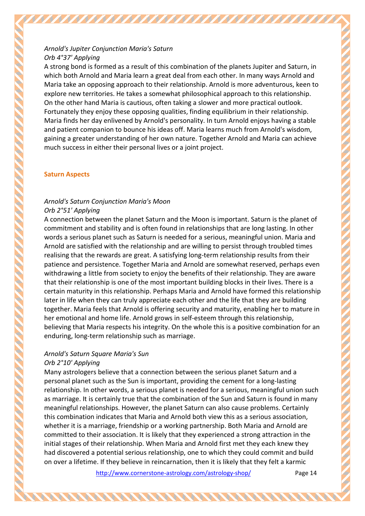## *Arnold's Jupiter Conjunction Maria's Saturn Orb 4°37' Applying*

A strong bond is formed as a result of this combination of the planets Jupiter and Saturn, in which both Arnold and Maria learn a great deal from each other. In many ways Arnold and Maria take an opposing approach to their relationship. Arnold is more adventurous, keen to explore new territories. He takes a somewhat philosophical approach to this relationship. On the other hand Maria is cautious, often taking a slower and more practical outlook. Fortunately they enjoy these opposing qualities, finding equilibrium in their relationship. Maria finds her day enlivened by Arnold's personality. In turn Arnold enjoys having a stable and patient companion to bounce his ideas off. Maria learns much from Arnold's wisdom, gaining a greater understanding of her own nature. Together Arnold and Maria can achieve much success in either their personal lives or a joint project.

## **Saturn Aspects**

# *Arnold's Saturn Conjunction Maria's Moon*

#### *Orb 2°51' Applying*

A connection between the planet Saturn and the Moon is important. Saturn is the planet of commitment and stability and is often found in relationships that are long lasting. In other words a serious planet such as Saturn is needed for a serious, meaningful union. Maria and Arnold are satisfied with the relationship and are willing to persist through troubled times realising that the rewards are great. A satisfying long-term relationship results from their patience and persistence. Together Maria and Arnold are somewhat reserved, perhaps even withdrawing a little from society to enjoy the benefits of their relationship. They are aware that their relationship is one of the most important building blocks in their lives. There is a certain maturity in this relationship. Perhaps Maria and Arnold have formed this relationship later in life when they can truly appreciate each other and the life that they are building together. Maria feels that Arnold is offering security and maturity, enabling her to mature in her emotional and home life. Arnold grows in self-esteem through this relationship, believing that Maria respects his integrity. On the whole this is a positive combination for an enduring, long-term relationship such as marriage.

#### *Arnold's Saturn Square Maria's Sun Orb 2°10' Applying*

Many astrologers believe that a connection between the serious planet Saturn and a personal planet such as the Sun is important, providing the cement for a long-lasting relationship. In other words, a serious planet is needed for a serious, meaningful union such as marriage. It is certainly true that the combination of the Sun and Saturn is found in many meaningful relationships. However, the planet Saturn can also cause problems. Certainly this combination indicates that Maria and Arnold both view this as a serious association, whether it is a marriage, friendship or a working partnership. Both Maria and Arnold are committed to their association. It is likely that they experienced a strong attraction in the initial stages of their relationship. When Maria and Arnold first met they each knew they had discovered a potential serious relationship, one to which they could commit and build on over a lifetime. If they believe in reincarnation, then it is likely that they felt a karmic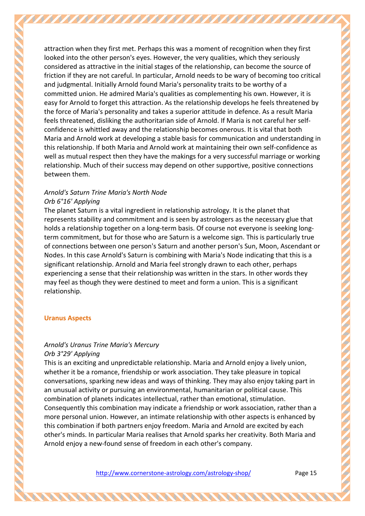attraction when they first met. Perhaps this was a moment of recognition when they first looked into the other person's eyes. However, the very qualities, which they seriously considered as attractive in the initial stages of the relationship, can become the source of friction if they are not careful. In particular, Arnold needs to be wary of becoming too critical and judgmental. Initially Arnold found Maria's personality traits to be worthy of a committed union. He admired Maria's qualities as complementing his own. However, it is easy for Arnold to forget this attraction. As the relationship develops he feels threatened by the force of Maria's personality and takes a superior attitude in defence. As a result Maria feels threatened, disliking the authoritarian side of Arnold. If Maria is not careful her selfconfidence is whittled away and the relationship becomes onerous. It is vital that both Maria and Arnold work at developing a stable basis for communication and understanding in this relationship. If both Maria and Arnold work at maintaining their own self-confidence as well as mutual respect then they have the makings for a very successful marriage or working relationship. Much of their success may depend on other supportive, positive connections between them.

## *Arnold's Saturn Trine Maria's North Node Orb 6°16' Applying*

The planet Saturn is a vital ingredient in relationship astrology. It is the planet that represents stability and commitment and is seen by astrologers as the necessary glue that holds a relationship together on a long-term basis. Of course not everyone is seeking longterm commitment, but for those who are Saturn is a welcome sign. This is particularly true of connections between one person's Saturn and another person's Sun, Moon, Ascendant or Nodes. In this case Arnold's Saturn is combining with Maria's Node indicating that this is a significant relationship. Arnold and Maria feel strongly drawn to each other, perhaps experiencing a sense that their relationship was written in the stars. In other words they may feel as though they were destined to meet and form a union. This is a significant relationship.

## **Uranus Aspects**

# *Arnold's Uranus Trine Maria's Mercury*

## *Orb 3°29' Applying*

This is an exciting and unpredictable relationship. Maria and Arnold enjoy a lively union, whether it be a romance, friendship or work association. They take pleasure in topical conversations, sparking new ideas and ways of thinking. They may also enjoy taking part in an unusual activity or pursuing an environmental, humanitarian or political cause. This combination of planets indicates intellectual, rather than emotional, stimulation. Consequently this combination may indicate a friendship or work association, rather than a more personal union. However, an intimate relationship with other aspects is enhanced by this combination if both partners enjoy freedom. Maria and Arnold are excited by each other's minds. In particular Maria realises that Arnold sparks her creativity. Both Maria and Arnold enjoy a new-found sense of freedom in each other's company.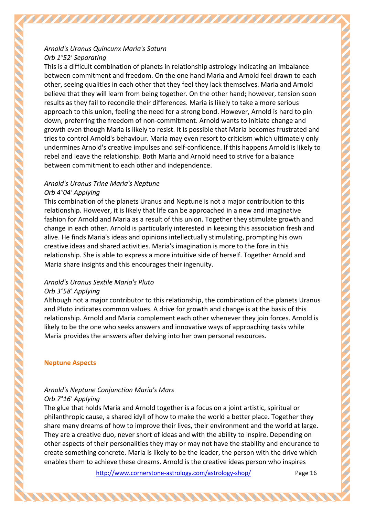## *Arnold's Uranus Quincunx Maria's Saturn Orb 1°52' Separating*

This is a difficult combination of planets in relationship astrology indicating an imbalance between commitment and freedom. On the one hand Maria and Arnold feel drawn to each other, seeing qualities in each other that they feel they lack themselves. Maria and Arnold believe that they will learn from being together. On the other hand; however, tension soon results as they fail to reconcile their differences. Maria is likely to take a more serious approach to this union, feeling the need for a strong bond. However, Arnold is hard to pin down, preferring the freedom of non-commitment. Arnold wants to initiate change and growth even though Maria is likely to resist. It is possible that Maria becomes frustrated and tries to control Arnold's behaviour. Maria may even resort to criticism which ultimately only undermines Arnold's creative impulses and self-confidence. If this happens Arnold is likely to rebel and leave the relationship. Both Maria and Arnold need to strive for a balance between commitment to each other and independence.

## *Arnold's Uranus Trine Maria's Neptune Orb 4°04' Applying*

This combination of the planets Uranus and Neptune is not a major contribution to this relationship. However, it is likely that life can be approached in a new and imaginative fashion for Arnold and Maria as a result of this union. Together they stimulate growth and change in each other. Arnold is particularly interested in keeping this association fresh and alive. He finds Maria's ideas and opinions intellectually stimulating, prompting his own creative ideas and shared activities. Maria's imagination is more to the fore in this relationship. She is able to express a more intuitive side of herself. Together Arnold and Maria share insights and this encourages their ingenuity.

# *Arnold's Uranus Sextile Maria's Pluto*

## *Orb 3°58' Applying*

Although not a major contributor to this relationship, the combination of the planets Uranus and Pluto indicates common values. A drive for growth and change is at the basis of this relationship. Arnold and Maria complement each other whenever they join forces. Arnold is likely to be the one who seeks answers and innovative ways of approaching tasks while Maria provides the answers after delving into her own personal resources.

## **Neptune Aspects**

# *Arnold's Neptune Conjunction Maria's Mars*

## *Orb 7°16' Applying*

The glue that holds Maria and Arnold together is a focus on a joint artistic, spiritual or philanthropic cause, a shared idyll of how to make the world a better place. Together they share many dreams of how to improve their lives, their environment and the world at large. They are a creative duo, never short of ideas and with the ability to inspire. Depending on other aspects of their personalities they may or may not have the stability and endurance to create something concrete. Maria is likely to be the leader, the person with the drive which enables them to achieve these dreams. Arnold is the creative ideas person who inspires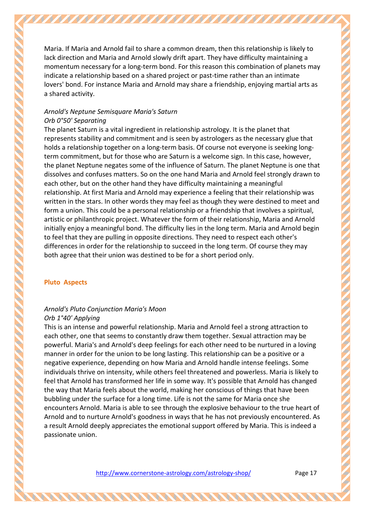Maria. If Maria and Arnold fail to share a common dream, then this relationship is likely to lack direction and Maria and Arnold slowly drift apart. They have difficulty maintaining a momentum necessary for a long-term bond. For this reason this combination of planets may indicate a relationship based on a shared project or past-time rather than an intimate lovers' bond. For instance Maria and Arnold may share a friendship, enjoying martial arts as a shared activity.

## *Arnold's Neptune Semisquare Maria's Saturn Orb 0°50' Separating*

The planet Saturn is a vital ingredient in relationship astrology. It is the planet that represents stability and commitment and is seen by astrologers as the necessary glue that holds a relationship together on a long-term basis. Of course not everyone is seeking longterm commitment, but for those who are Saturn is a welcome sign. In this case, however, the planet Neptune negates some of the influence of Saturn. The planet Neptune is one that dissolves and confuses matters. So on the one hand Maria and Arnold feel strongly drawn to each other, but on the other hand they have difficulty maintaining a meaningful relationship. At first Maria and Arnold may experience a feeling that their relationship was written in the stars. In other words they may feel as though they were destined to meet and form a union. This could be a personal relationship or a friendship that involves a spiritual, artistic or philanthropic project. Whatever the form of their relationship, Maria and Arnold initially enjoy a meaningful bond. The difficulty lies in the long term. Maria and Arnold begin to feel that they are pulling in opposite directions. They need to respect each other's differences in order for the relationship to succeed in the long term. Of course they may both agree that their union was destined to be for a short period only.

#### **Pluto Aspects**

# *Arnold's Pluto Conjunction Maria's Moon Orb 1°40' Applying*

This is an intense and powerful relationship. Maria and Arnold feel a strong attraction to each other, one that seems to constantly draw them together. Sexual attraction may be powerful. Maria's and Arnold's deep feelings for each other need to be nurtured in a loving manner in order for the union to be long lasting. This relationship can be a positive or a negative experience, depending on how Maria and Arnold handle intense feelings. Some individuals thrive on intensity, while others feel threatened and powerless. Maria is likely to feel that Arnold has transformed her life in some way. It's possible that Arnold has changed the way that Maria feels about the world, making her conscious of things that have been bubbling under the surface for a long time. Life is not the same for Maria once she encounters Arnold. Maria is able to see through the explosive behaviour to the true heart of Arnold and to nurture Arnold's goodness in ways that he has not previously encountered. As a result Arnold deeply appreciates the emotional support offered by Maria. This is indeed a passionate union.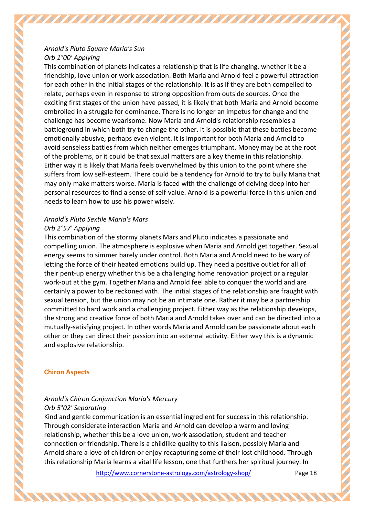## *Arnold's Pluto Square Maria's Sun Orb 1°00' Applying*

This combination of planets indicates a relationship that is life changing, whether it be a friendship, love union or work association. Both Maria and Arnold feel a powerful attraction for each other in the initial stages of the relationship. It is as if they are both compelled to relate, perhaps even in response to strong opposition from outside sources. Once the exciting first stages of the union have passed, it is likely that both Maria and Arnold become embroiled in a struggle for dominance. There is no longer an impetus for change and the challenge has become wearisome. Now Maria and Arnold's relationship resembles a battleground in which both try to change the other. It is possible that these battles become emotionally abusive, perhaps even violent. It is important for both Maria and Arnold to avoid senseless battles from which neither emerges triumphant. Money may be at the root of the problems, or it could be that sexual matters are a key theme in this relationship. Either way it is likely that Maria feels overwhelmed by this union to the point where she suffers from low self-esteem. There could be a tendency for Arnold to try to bully Maria that may only make matters worse. Maria is faced with the challenge of delving deep into her personal resources to find a sense of self-value. Arnold is a powerful force in this union and needs to learn how to use his power wisely.

## *Arnold's Pluto Sextile Maria's Mars Orb 2°57' Applying*

This combination of the stormy planets Mars and Pluto indicates a passionate and compelling union. The atmosphere is explosive when Maria and Arnold get together. Sexual energy seems to simmer barely under control. Both Maria and Arnold need to be wary of letting the force of their heated emotions build up. They need a positive outlet for all of their pent-up energy whether this be a challenging home renovation project or a regular work-out at the gym. Together Maria and Arnold feel able to conquer the world and are certainly a power to be reckoned with. The initial stages of the relationship are fraught with sexual tension, but the union may not be an intimate one. Rather it may be a partnership committed to hard work and a challenging project. Either way as the relationship develops, the strong and creative force of both Maria and Arnold takes over and can be directed into a mutually-satisfying project. In other words Maria and Arnold can be passionate about each other or they can direct their passion into an external activity. Either way this is a dynamic and explosive relationship.

## **Chiron Aspects**

# *Arnold's Chiron Conjunction Maria's Mercury Orb 5°02' Separating*

Kind and gentle communication is an essential ingredient for success in this relationship. Through considerate interaction Maria and Arnold can develop a warm and loving relationship, whether this be a love union, work association, student and teacher connection or friendship. There is a childlike quality to this liaison, possibly Maria and Arnold share a love of children or enjoy recapturing some of their lost childhood. Through this relationship Maria learns a vital life lesson, one that furthers her spiritual journey. In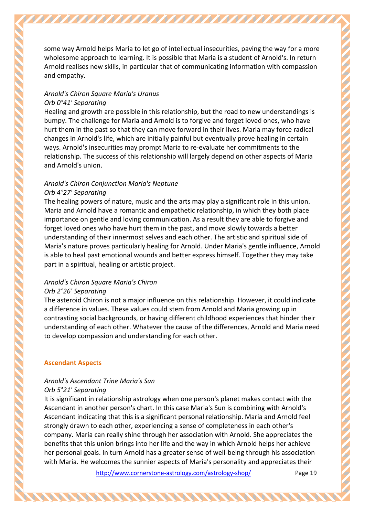some way Arnold helps Maria to let go of intellectual insecurities, paving the way for a more wholesome approach to learning. It is possible that Maria is a student of Arnold's. In return Arnold realises new skills, in particular that of communicating information with compassion and empathy.

## *Arnold's Chiron Square Maria's Uranus Orb 0°41' Separating*

Healing and growth are possible in this relationship, but the road to new understandings is bumpy. The challenge for Maria and Arnold is to forgive and forget loved ones, who have hurt them in the past so that they can move forward in their lives. Maria may force radical changes in Arnold's life, which are initially painful but eventually prove healing in certain ways. Arnold's insecurities may prompt Maria to re-evaluate her commitments to the relationship. The success of this relationship will largely depend on other aspects of Maria and Arnold's union.

#### *Arnold's Chiron Conjunction Maria's Neptune Orb 4°27' Separating*

The healing powers of nature, music and the arts may play a significant role in this union. Maria and Arnold have a romantic and empathetic relationship, in which they both place importance on gentle and loving communication. As a result they are able to forgive and forget loved ones who have hurt them in the past, and move slowly towards a better understanding of their innermost selves and each other. The artistic and spiritual side of Maria's nature proves particularly healing for Arnold. Under Maria's gentle influence, Arnold is able to heal past emotional wounds and better express himself. Together they may take part in a spiritual, healing or artistic project.

## *Arnold's Chiron Square Maria's Chiron Orb 2°26' Separating*

The asteroid Chiron is not a major influence on this relationship. However, it could indicate a difference in values. These values could stem from Arnold and Maria growing up in contrasting social backgrounds, or having different childhood experiences that hinder their understanding of each other. Whatever the cause of the differences, Arnold and Maria need to develop compassion and understanding for each other.

## **Ascendant Aspects**

## *Arnold's Ascendant Trine Maria's Sun*

## *Orb 5°21' Separating*

It is significant in relationship astrology when one person's planet makes contact with the Ascendant in another person's chart. In this case Maria's Sun is combining with Arnold's Ascendant indicating that this is a significant personal relationship. Maria and Arnold feel strongly drawn to each other, experiencing a sense of completeness in each other's company. Maria can really shine through her association with Arnold. She appreciates the benefits that this union brings into her life and the way in which Arnold helps her achieve her personal goals. In turn Arnold has a greater sense of well-being through his association with Maria. He welcomes the sunnier aspects of Maria's personality and appreciates their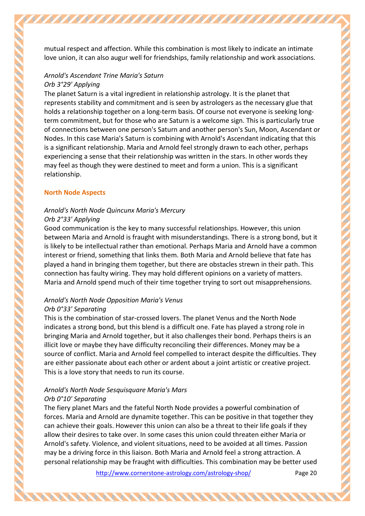mutual respect and affection. While this combination is most likely to indicate an intimate love union, it can also augur well for friendships, family relationship and work associations.

#### *Arnold's Ascendant Trine Maria's Saturn Orb 3°29' Applying*

The planet Saturn is a vital ingredient in relationship astrology. It is the planet that represents stability and commitment and is seen by astrologers as the necessary glue that holds a relationship together on a long-term basis. Of course not everyone is seeking longterm commitment, but for those who are Saturn is a welcome sign. This is particularly true of connections between one person's Saturn and another person's Sun, Moon, Ascendant or Nodes. In this case Maria's Saturn is combining with Arnold's Ascendant indicating that this is a significant relationship. Maria and Arnold feel strongly drawn to each other, perhaps experiencing a sense that their relationship was written in the stars. In other words they may feel as though they were destined to meet and form a union. This is a significant relationship.

## **North Node Aspects**

## *Arnold's North Node Quincunx Maria's Mercury*

## *Orb 2°33' Applying*

Good communication is the key to many successful relationships. However, this union between Maria and Arnold is fraught with misunderstandings. There is a strong bond, but it is likely to be intellectual rather than emotional. Perhaps Maria and Arnold have a common interest or friend, something that links them. Both Maria and Arnold believe that fate has played a hand in bringing them together, but there are obstacles strewn in their path. This connection has faulty wiring. They may hold different opinions on a variety of matters. Maria and Arnold spend much of their time together trying to sort out misapprehensions.

## *Arnold's North Node Opposition Maria's Venus*

## *Orb 0°33' Separating*

This is the combination of star-crossed lovers. The planet Venus and the North Node indicates a strong bond, but this blend is a difficult one. Fate has played a strong role in bringing Maria and Arnold together, but it also challenges their bond. Perhaps theirs is an illicit love or maybe they have difficulty reconciling their differences. Money may be a source of conflict. Maria and Arnold feel compelled to interact despite the difficulties. They are either passionate about each other or ardent about a joint artistic or creative project. This is a love story that needs to run its course.

## *Arnold's North Node Sesquisquare Maria's Mars Orb 0°10' Separating*

**NNANANANA** 

The fiery planet Mars and the fateful North Node provides a powerful combination of forces. Maria and Arnold are dynamite together. This can be positive in that together they can achieve their goals. However this union can also be a threat to their life goals if they allow their desires to take over. In some cases this union could threaten either Maria or Arnold's safety. Violence, and violent situations, need to be avoided at all times. Passion may be a driving force in this liaison. Both Maria and Arnold feel a strong attraction. A personal relationship may be fraught with difficulties. This combination may be better used